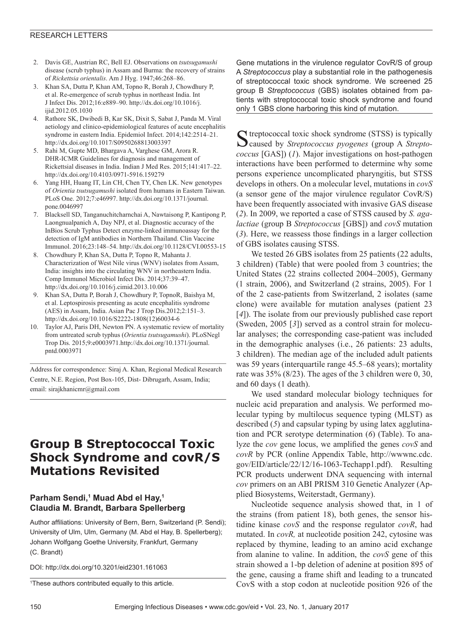#### RESEARCH LETTERS

- 2. Davis GE, Austrian RC, Bell EJ. Observations on *tsutsugamushi* disease (scrub typhus) in Assam and Burma: the recovery of strains of *Rickettsia orientalis*. Am J Hyg. 1947;46:268–86.
- 3. Khan SA, Dutta P, Khan AM, Topno R, Borah J, Chowdhury P, et al. Re-emergence of scrub typhus in northeast India. Int J Infect Dis. 2012;16:e889–90. http://dx.doi.org/10.1016/j. ijid.2012.05.1030
- 4. Rathore SK, Dwibedi B, Kar SK, Dixit S, Sabat J, Panda M. Viral aetiology and clinico-epidemiological features of acute encephalitis syndrome in eastern India. Epidemiol Infect. 2014;142:2514–21. http://dx.doi.org/10.1017/S0950268813003397
- 5. Rahi M, Gupte MD, Bhargava A, Varghese GM, Arora R. DHR-ICMR Guidelines for diagnosis and management of Rickettsial diseases in India. Indian J Med Res. 2015;141:417–22. http://dx.doi.org/10.4103/0971-5916.159279
- 6. Yang HH, Huang IT, Lin CH, Chen TY, Chen LK. New genotypes of *Orientia tsutsugamushi* isolated from humans in Eastern Taiwan. PLoS One. 2012;7:e46997. http://dx.doi.org/10.1371/journal. pone.0046997
- 7. Blacksell SD, Tanganuchitcharnchai A, Nawtaisong P, Kantipong P, Laongnualpanich A, Day NPJ, et al. Diagnostic accuracy of the InBios Scrub Typhus Detect enzyme-linked immunoassay for the detection of IgM antibodies in Northern Thailand. Clin Vaccine Immunol. 2016;23:148–54. http://dx.doi.org/10.1128/CVI.00553-15
- 8. Chowdhury P, Khan SA, Dutta P, Topno R, Mahanta J. Characterization of West Nile virus (WNV) isolates from Assam, India: insights into the circulating WNV in northeastern India. Comp Immunol Microbiol Infect Dis. 2014;37:39–47. http://dx.doi.org/10.1016/j.cimid.2013.10.006
- 9. Khan SA, Dutta P, Borah J, Chowdhury P, TopnoR, Baishya M, et al. Leptospirosis presenting as acute encephalitis syndrome (AES) in Assam, India. Asian Pac J Trop Dis.2012;2:151–3. http://dx.doi.org/10.1016/S2222-1808(12)60034-6
- 10. Taylor AJ, Paris DH, Newton PN. A systematic review of mortality from untreated scrub typhus (*Orientia tsutsugamushi*). PLoSNegl Trop Dis. 2015;9:e0003971.http://dx.doi.org/10.1371/journal. pntd.0003971

Address for correspondence: Siraj A. Khan, Regional Medical Research Centre, N.E. Region, Post Box-105, Dist- Dibrugarh, Assam, India; email: sirajkhanicmr@gmail.com

# **Group B Streptococcal Toxic Shock Syndrome and covR/S Mutations Revisited**

## **Parham Sendi,1 Muad Abd el Hay,1 Claudia M. Brandt, Barbara Spellerberg**

Author affiliations: University of Bern, Bern, Switzerland (P. Sendi); University of Ulm, Ulm, Germany (M. Abd el Hay, B. Spellerberg); Johann Wolfgang Goethe University, Frankfurt, Germany (C. Brandt)

DOI: http://dx.doi.org/10.3201/eid2301.161063

Gene mutations in the virulence regulator CovR/S of group A *Streptococcus* play a substantial role in the pathogenesis of streptococcal toxic shock syndrome. We screened 25 group B *Streptococcus* (GBS) isolates obtained from patients with streptococcal toxic shock syndrome and found only 1 GBS clone harboring this kind of mutation.

Streptococcal toxic shock syndrome (STSS) is typically Caused by *Streptococcus pyogenes* (group A *Streptococcus* [GAS]) (*1*). Major investigations on host-pathogen interactions have been performed to determine why some persons experience uncomplicated pharyngitis, but STSS develops in others. On a molecular level, mutations in *covS* (a sensor gene of the major virulence regulator CovR/S) have been frequently associated with invasive GAS disease (*2*). In 2009, we reported a case of STSS caused by *S. agalactiae* (group B *Streptococcus* [GBS]) and *covS* mutation (*3*). Here, we reassess those findings in a larger collection of GBS isolates causing STSS.

We tested 26 GBS isolates from 25 patients (22 adults, 3 children) (Table) that were pooled from 3 countries; the United States (22 strains collected 2004–2005), Germany (1 strain, 2006), and Switzerland (2 strains, 2005). For 1 of the 2 case-patients from Switzerland, 2 isolates (same clone) were available for mutation analyses (patient 23 [*4*]). The isolate from our previously published case report (Sweden, 2005 [*3*]) served as a control strain for molecular analyses; the corresponding case-patient was included in the demographic analyses (i.e., 26 patients: 23 adults, 3 children). The median age of the included adult patients was 59 years (interquartile range 45.5–68 years); mortality rate was 35% (8/23). The ages of the 3 children were 0, 30, and 60 days (1 death).

We used standard molecular biology techniques for nucleic acid preparation and analysis. We performed molecular typing by multilocus sequence typing (MLST) as described (*5*) and capsular typing by using latex agglutination and PCR serotype determination (*6*) (Table). To analyze the *cov* gene locus, we amplified the genes *covS* and *covR* by PCR (online Appendix Table, http://wwwnc.cdc. gov/EID/article/22/12/16-1063-Techapp1.pdf). Resulting PCR products underwent DNA sequencing with internal *cov* primers on an ABI PRISM 310 Genetic Analyzer (Applied Biosystems, Weiterstadt, Germany).

Nucleotide sequence analysis showed that, in 1 of the strains (from patient 18), both genes, the sensor histidine kinase *covS* and the response regulator *covR*, had mutated. In *covR,* at nucleotide position 242, cytosine was replaced by thymine, leading to an amino acid exchange from alanine to valine. In addition, the *covS* gene of this strain showed a 1-bp deletion of adenine at position 895 of the gene, causing a frame shift and leading to a truncated CovS with a stop codon at nucleotide position 926 of the

<sup>1</sup> These authors contributed equally to this article.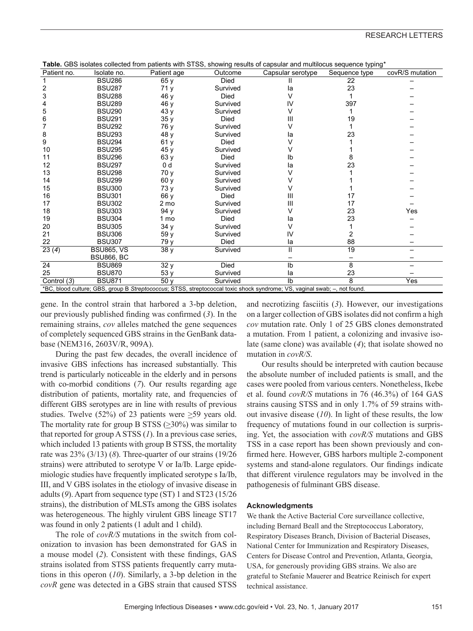| Patient no.                                                                                                               | Isolate no.       | Patient age    | Outcome     | <b>Table.</b> GDS isolates collected from patients with STSS, showing results or capsular and multilocus sequence typing<br>Capsular serotype | Sequence type | covR/S mutation |  |
|---------------------------------------------------------------------------------------------------------------------------|-------------------|----------------|-------------|-----------------------------------------------------------------------------------------------------------------------------------------------|---------------|-----------------|--|
|                                                                                                                           | <b>BSU286</b>     | 65y            | <b>Died</b> |                                                                                                                                               | 22            |                 |  |
| 2                                                                                                                         | <b>BSU287</b>     | 71 y           | Survived    | la                                                                                                                                            | 23            |                 |  |
| 3                                                                                                                         | <b>BSU288</b>     | 46 v           | Died        |                                                                                                                                               |               |                 |  |
|                                                                                                                           | <b>BSU289</b>     | 46 y           | Survived    | IV                                                                                                                                            | 397           |                 |  |
| 5                                                                                                                         | <b>BSU290</b>     | 43 y           | Survived    |                                                                                                                                               |               |                 |  |
| 6                                                                                                                         | <b>BSU291</b>     | 35 y           | Died        | Ш                                                                                                                                             | 19            |                 |  |
|                                                                                                                           | <b>BSU292</b>     | 76 y           | Survived    |                                                                                                                                               |               |                 |  |
| 8                                                                                                                         | <b>BSU293</b>     | 48 v           | Survived    | la                                                                                                                                            | 23            |                 |  |
| 9                                                                                                                         | <b>BSU294</b>     | 61y            | Died        |                                                                                                                                               |               |                 |  |
| 10                                                                                                                        | <b>BSU295</b>     | 45 y           | Survived    |                                                                                                                                               |               |                 |  |
| 11                                                                                                                        | <b>BSU296</b>     | 63 y           | Died        | lb                                                                                                                                            |               |                 |  |
| 12                                                                                                                        | <b>BSU297</b>     | 0 <sub>d</sub> | Survived    | la                                                                                                                                            | 23            |                 |  |
| 13                                                                                                                        | <b>BSU298</b>     | 70 y           | Survived    |                                                                                                                                               |               |                 |  |
| 14                                                                                                                        | <b>BSU299</b>     | 60y            | Survived    |                                                                                                                                               |               |                 |  |
| 15                                                                                                                        | <b>BSU300</b>     | 73 y           | Survived    |                                                                                                                                               |               |                 |  |
| 16                                                                                                                        | <b>BSU301</b>     | 66 y           | Died        | Ш                                                                                                                                             | 17            |                 |  |
| 17                                                                                                                        | <b>BSU302</b>     | 2 mo           | Survived    | Ш                                                                                                                                             | 17            |                 |  |
| 18                                                                                                                        | <b>BSU303</b>     | 94 y           | Survived    | v                                                                                                                                             | 23            | Yes             |  |
| 19                                                                                                                        | <b>BSU304</b>     | 1 mo           | Died        | la                                                                                                                                            | 23            |                 |  |
| 20                                                                                                                        | <b>BSU305</b>     | 34 y           | Survived    | v                                                                                                                                             |               |                 |  |
| 21                                                                                                                        | <b>BSU306</b>     | 59 y           | Survived    | IV                                                                                                                                            |               |                 |  |
| 22                                                                                                                        | <b>BSU307</b>     | 79 v           | Died        | la                                                                                                                                            | 88            |                 |  |
| 23(4)                                                                                                                     | <b>BSU865, VS</b> | 38 y           | Survived    | Ī                                                                                                                                             | 19            |                 |  |
|                                                                                                                           | <b>BSU866, BC</b> |                |             |                                                                                                                                               |               |                 |  |
| 24                                                                                                                        | <b>BSU869</b>     | 32 y           | <b>Died</b> | Ib                                                                                                                                            | 8             |                 |  |
| 25                                                                                                                        | <b>BSU870</b>     | 53 y           | Survived    | la                                                                                                                                            | 23            |                 |  |
| Control (3)                                                                                                               | <b>BSU871</b>     | 50 v           | Survived    | Ib                                                                                                                                            | 8             | Yes             |  |
| *BC, blood culture; GBS, group B Streptococcus; STSS, streptococcal toxic shock syndrome; VS, vaginal swab; -, not found. |                   |                |             |                                                                                                                                               |               |                 |  |

**Table.** GBS isolates collected from patients with STSS, showing results of capsular and multilocus sequence typing\*

gene. In the control strain that harbored a 3-bp deletion, our previously published finding was confirmed (*3*). In the remaining strains, *cov* alleles matched the gene sequences of completely sequenced GBS strains in the GenBank database (NEM316, 2603V/R, 909A).

During the past few decades, the overall incidence of invasive GBS infections has increased substantially. This trend is particularly noticeable in the elderly and in persons with co-morbid conditions (*7*). Our results regarding age distribution of patients, mortality rate, and frequencies of different GBS serotypes are in line with results of previous studies. Twelve (52%) of 23 patients were >59 years old. The mortality rate for group B STSS (>30%) was similar to that reported for group A STSS (*1*). In a previous case series, which included 13 patients with group B STSS, the mortality rate was 23% (3/13) (*8*). Three-quarter of our strains (19/26 strains) were attributed to serotype V or Ia/Ib. Large epidemiologic studies have frequently implicated serotype s Ia/Ib, III, and V GBS isolates in the etiology of invasive disease in adults (*9*). Apart from sequence type (ST) 1 and ST23 (15/26 strains), the distribution of MLSTs among the GBS isolates was heterogeneous. The highly virulent GBS lineage ST17 was found in only 2 patients (1 adult and 1 child).

The role of *covR/S* mutations in the switch from colonization to invasion has been demonstrated for GAS in a mouse model (*2*). Consistent with these findings, GAS strains isolated from STSS patients frequently carry mutations in this operon (*10*). Similarly, a 3-bp deletion in the *covR* gene was detected in a GBS strain that caused STSS

and necrotizing fasciitis (*3*). However, our investigations on a larger collection of GBS isolates did not confirm a high *cov* mutation rate. Only 1 of 25 GBS clones demonstrated a mutation. From 1 patient, a colonizing and invasive isolate (same clone) was available (*4*); that isolate showed no mutation in *covR/S*.

Our results should be interpreted with caution because the absolute number of included patients is small, and the cases were pooled from various centers. Nonetheless, Ikebe et al. found *covR/S* mutations in 76 (46.3%) of 164 GAS strains causing STSS and in only 1.7% of 59 strains without invasive disease (*10*). In light of these results, the low frequency of mutations found in our collection is surprising. Yet, the association with *covR/S* mutations and GBS TSS in a case report has been shown previously and confirmed here. However, GBS harbors multiple 2-component systems and stand-alone regulators. Our findings indicate that different virulence regulators may be involved in the pathogenesis of fulminant GBS disease.

#### **Acknowledgments**

We thank the Active Bacterial Core surveillance collective, including Bernard Beall and the Streptococcus Laboratory, Respiratory Diseases Branch, Division of Bacterial Diseases, National Center for Immunization and Respiratory Diseases, Centers for Disease Control and Prevention, Atlanta, Georgia, USA, for generously providing GBS strains. We also are grateful to Stefanie Mauerer and Beatrice Reinisch for expert technical assistance.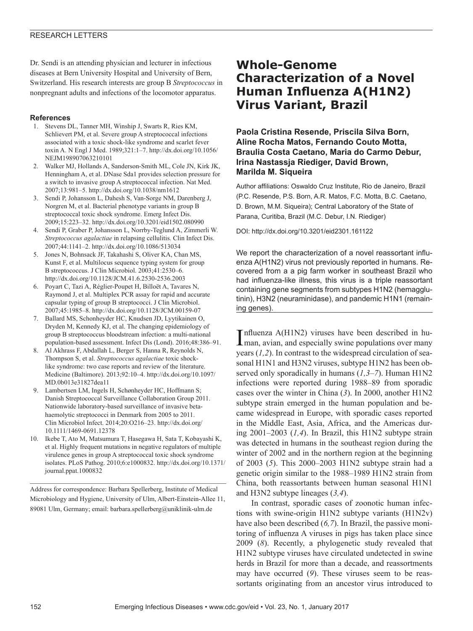#### RESEARCH LETTERS

Dr. Sendi is an attending physician and lecturer in infectious diseases at Bern University Hospital and University of Bern, Switzerland. His research interests are group B *Streptococcus* in nonpregnant adults and infections of the locomotor apparatus.

#### **References**

- 1. Stevens DL, Tanner MH, Winship J, Swarts R, Ries KM, Schlievert PM, et al. Severe group A streptococcal infections associated with a toxic shock-like syndrome and scarlet fever toxin A. N Engl J Med. 1989;321:1–7. http://dx.doi.org/10.1056/ NEJM198907063210101
- 2. Walker MJ, Hollands A, Sanderson-Smith ML, Cole JN, Kirk JK, Henningham A, et al. DNase Sda1 provides selection pressure for a switch to invasive group A streptococcal infection. Nat Med. 2007;13:981–5. http://dx.doi.org/10.1038/nm1612
- 3. Sendi P, Johansson L, Dahesh S, Van-Sorge NM, Darenberg J, Norgren M, et al. Bacterial phenotype variants in group B streptococcal toxic shock syndrome. Emerg Infect Dis. 2009;15:223–32. http://dx.doi.org/10.3201/eid1502.080990
- 4. Sendi P, Graber P, Johansson L, Norrby-Teglund A, Zimmerli W. *Streptococcus agalactiae* in relapsing cellulitis. Clin Infect Dis. 2007;44:1141–2. http://dx.doi.org/10.1086/513034
- 5. Jones N, Bohnsack JF, Takahashi S, Oliver KA, Chan MS, Kunst F, et al. Multilocus sequence typing system for group B streptococcus. J Clin Microbiol. 2003;41:2530–6. http://dx.doi.org/10.1128/JCM.41.6.2530-2536.2003
- 6. Poyart C, Tazi A, Réglier-Poupet H, Billoët A, Tavares N, Raymond J, et al. Multiplex PCR assay for rapid and accurate capsular typing of group B streptococci. J Clin Microbiol. 2007;45:1985–8. http://dx.doi.org/10.1128/JCM.00159-07
- 7. Ballard MS, Schonheyder HC, Knudsen JD, Lyytikainen O, Dryden M, Kennedy KJ, et al. The changing epidemiology of group B streptococcus bloodstream infection: a multi-national population-based assessment. Infect Dis (Lond). 2016;48:386–91.
- 8. Al Akhrass F, Abdallah L, Berger S, Hanna R, Reynolds N, Thompson S, et al. *Streptococcus agalactiae* toxic shocklike syndrome: two case reports and review of the literature. Medicine (Baltimore). 2013;92:10–4. http://dx.doi.org/10.1097/ MD.0b013e31827dea11
- 9. Lambertsen LM, Ingels H, Schønheyder HC, Hoffmann S; Danish Streptococcal Surveillance Collaboration Group 2011. Nationwide laboratory-based surveillance of invasive betahaemolytic streptococci in Denmark from 2005 to 2011. Clin Microbiol Infect. 2014;20:O216–23. http://dx.doi.org/ 10.1111/1469-0691.12378
- 10. Ikebe T, Ato M, Matsumura T, Hasegawa H, Sata T, Kobayashi K, et al. Highly frequent mutations in negative regulators of multiple virulence genes in group A streptococcal toxic shock syndrome isolates. PLoS Pathog. 2010;6:e1000832. http://dx.doi.org/10.1371/ journal.ppat.1000832

Address for correspondence: Barbara Spellerberg, Institute of Medical Microbiology and Hygiene, University of Ulm, Albert-Einstein-Allee 11, 89081 Ulm, Germany; email: barbara.spellerberg@uniklinik-ulm.de

## **Whole-Genome Characterization of a Novel Human Influenza A(H1N2) Virus Variant, Brazil**

### **Paola Cristina Resende, Priscila Silva Born, Aline Rocha Matos, Fernando Couto Motta, Braulia Costa Caetano, Maria do Carmo Debur, Irina Nastassja Riediger, David Brown, Marilda M. Siqueira**

Author affiliations: Oswaldo Cruz Institute, Rio de Janeiro, Brazil (P.C. Resende, P.S. Born, A.R. Matos, F.C. Motta, B.C. Caetano, D. Brown, M.M. Siqueira); Central Laboratory of the State of Parana, Curitiba, Brazil (M.C. Debur, I.N. Riediger)

DOI: http://dx.doi.org/10.3201/eid2301.161122

We report the characterization of a novel reassortant influenza A(H1N2) virus not previously reported in humans. Recovered from a a pig farm worker in southeast Brazil who had influenza-like illness, this virus is a triple reassortant containing gene segments from subtypes H1N2 (hemagglutinin), H3N2 (neuraminidase), and pandemic H1N1 (remaining genes).

Influenza A(H1N2) viruses have been described in hu-<br>Iman, avian, and especially swine populations over many man, avian, and especially swine populations over many years (*1,2*). In contrast to the widespread circulation of seasonal H1N1 and H3N2 viruses, subtype H1N2 has been observed only sporadically in humans (*1,3–7*). Human H1N2 infections were reported during 1988–89 from sporadic cases over the winter in China (*3*). In 2000, another H1N2 subtype strain emerged in the human population and became widespread in Europe, with sporadic cases reported in the Middle East, Asia, Africa, and the Americas during 2001–2003 (*1,4*). In Brazil, this H1N2 subtype strain was detected in humans in the southeast region during the winter of 2002 and in the northern region at the beginning of 2003 (*5*). This 2000–2003 H1N2 subtype strain had a genetic origin similar to the 1988–1989 H1N2 strain from China, both reassortants between human seasonal H1N1 and H3N2 subtype lineages (*3,4*).

In contrast, sporadic cases of zoonotic human infections with swine-origin H1N2 subtype variants (H1N2v) have also been described (*6,7*). In Brazil, the passive monitoring of influenza A viruses in pigs has taken place since 2009 (*8*). Recently, a phylogenetic study revealed that H1N2 subtype viruses have circulated undetected in swine herds in Brazil for more than a decade, and reassortments may have occurred (*9*). These viruses seem to be reassortants originating from an ancestor virus introduced to